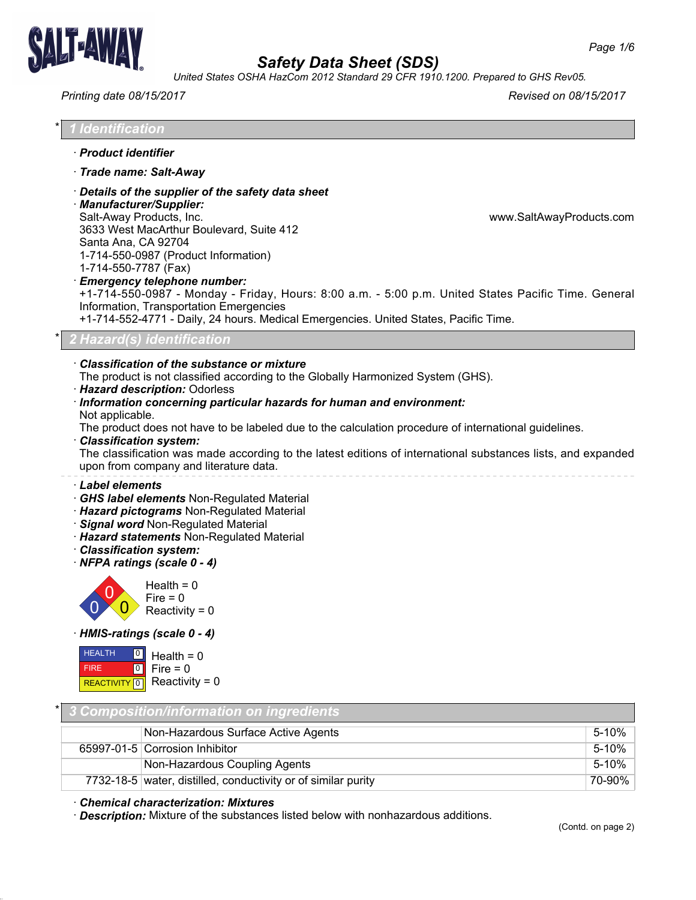

*United States OSHA HazCom 2012 Standard 29 CFR 1910.1200. Prepared to GHS Rev05.*

## *Printing date 08/15/2017 Revised on 08/15/2017*

| $\star$ | <u>1 Id</u> entification |  |
|---------|--------------------------|--|
|         |                          |  |

- · *Product identifier*
- · *Trade name: Salt-Away*
- · *Details of the supplier of the safety data sheet*

· *Manufacturer/Supplier:* Salt-Away Products, Inc. www.SaltAwayProducts.com 3633 West MacArthur Boulevard, Suite 412 Santa Ana, CA 92704 1-714-550-0987 (Product Information) 1-714-550-7787 (Fax)

· *Emergency telephone number:*

+1-714-550-0987 - Monday - Friday, Hours: 8:00 a.m. - 5:00 p.m. United States Pacific Time. General Information, Transportation Emergencies

+1-714-552-4771 - Daily, 24 hours. Medical Emergencies. United States, Pacific Time.

## \* *2 Hazard(s) identification*

## · *Classification of the substance or mixture*

The product is not classified according to the Globally Harmonized System (GHS).

· *Hazard description:* Odorless

#### · *Information concerning particular hazards for human and environment:* Not applicable.

The product does not have to be labeled due to the calculation procedure of international guidelines.

· *Classification system:*

The classification was made according to the latest editions of international substances lists, and expanded upon from company and literature data.

## · *Label elements*

- · *GHS label elements* Non-Regulated Material
- · *Hazard pictograms* Non-Regulated Material
- · *Signal word* Non-Regulated Material
- · *Hazard statements* Non-Regulated Material
- · *Classification system:*
- · *NFPA ratings (scale 0 4)*



· *HMIS-ratings (scale 0 - 4)*

| <b>HEALTH</b> | $\Box$ Health = 0           |
|---------------|-----------------------------|
| <b>FIRE</b>   | $ 0 $ Fire = 0              |
|               | REACTIVITY 0 Reactivity = 0 |

38.1.1

| * 3 Composition/information on ingredients |                                                               |        |
|--------------------------------------------|---------------------------------------------------------------|--------|
|                                            | Non-Hazardous Surface Active Agents                           | 5-10%  |
|                                            | 65997-01-5 Corrosion Inhibitor                                | 5-10%  |
|                                            | Non-Hazardous Coupling Agents                                 | 5-10%  |
|                                            | 7732-18-5 water, distilled, conductivity or of similar purity | 70-90% |

## · *Chemical characterization: Mixtures*

· *Description:* Mixture of the substances listed below with nonhazardous additions.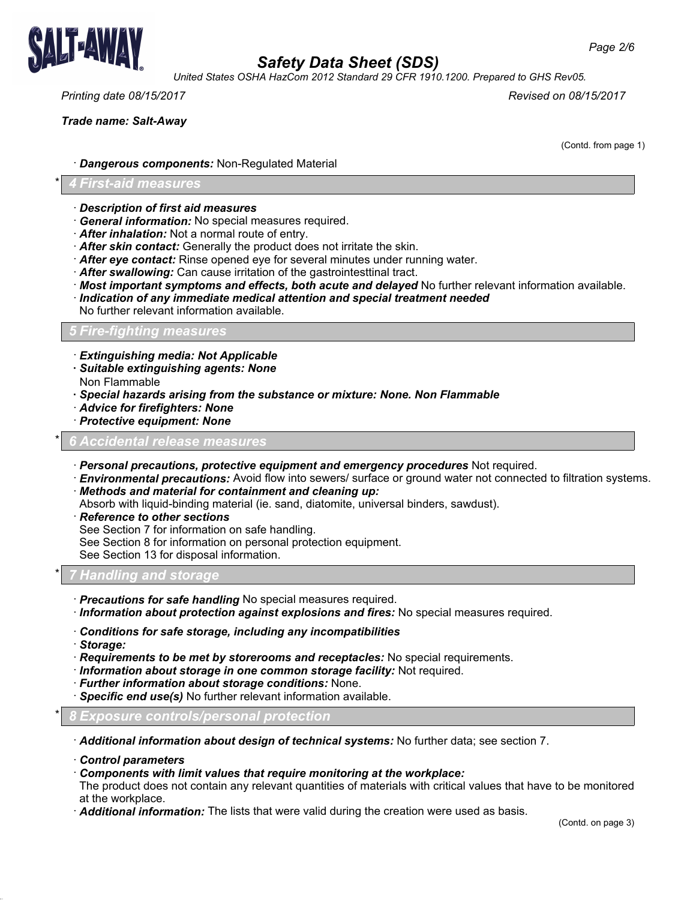

*United States OSHA HazCom 2012 Standard 29 CFR 1910.1200. Prepared to GHS Rev05.*

*Printing date 08/15/2017 Revised on 08/15/2017*

*Trade name: Salt-Away*

(Contd. from page 1)

· *Dangerous components:* Non-Regulated Material

### \* *4 First-aid measures*

- · *Description of first aid measures*
- · *General information:* No special measures required.
- · *After inhalation:* Not a normal route of entry.
- · *After skin contact:* Generally the product does not irritate the skin.
- · *After eye contact:* Rinse opened eye for several minutes under running water.
- · *After swallowing:* Can cause irritation of the gastrointesttinal tract.
- · *Most important symptoms and effects, both acute and delayed* No further relevant information available. · *Indication of any immediate medical attention and special treatment needed*
- No further relevant information available.
- *5 Fire-fighting measures*
- · *Extinguishing media: Not Applicable*
- *· Suitable extinguishing agents: None*
- Non Flammable
- *· Special hazards arising from the substance or mixture: None. Non Flammable*
- · *Advice for firefighters: None*
- · *Protective equipment: None*

#### \* *6 Accidental release measures*

- · *Personal precautions, protective equipment and emergency procedures* Not required.
- · *Environmental precautions:* Avoid flow into sewers/ surface or ground water not connected to filtration systems.
- · *Methods and material for containment and cleaning up:*
- Absorb with liquid-binding material (ie. sand, diatomite, universal binders, sawdust).
- · *Reference to other sections*
- See Section 7 for information on safe handling.
- See Section 8 for information on personal protection equipment.

See Section 13 for disposal information.

## \* *7 Handling and storage*

- · *Precautions for safe handling* No special measures required.
- · *Information about protection against explosions and fires:* No special measures required.
- · *Conditions for safe storage, including any incompatibilities*
- · *Storage:*

38.1.1

- · *Requirements to be met by storerooms and receptacles:* No special requirements.
- · *Information about storage in one common storage facility:* Not required.
- · *Further information about storage conditions:* None.
- · *Specific end use(s)* No further relevant information available.

\* *8 Exposure controls/personal protection*

- · *Additional information about design of technical systems:* No further data; see section 7.
- · *Control parameters*
- · *Components with limit values that require monitoring at the workplace:*

The product does not contain any relevant quantities of materials with critical values that have to be monitored at the workplace.

· *Additional information:* The lists that were valid during the creation were used as basis.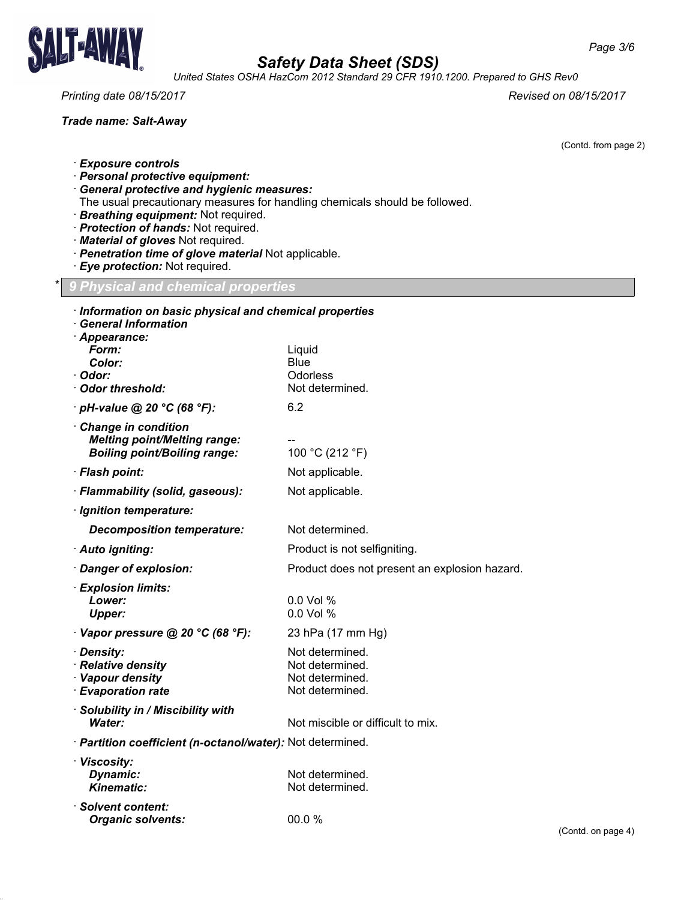

38.1.1

# *Safety Data Sheet (SDS)*

*United States OSHA HazCom 2012 Standard 29 CFR 1910.1200. Prepared to GHS Rev0*

*Printing date 08/15/2017 Revised on 08/15/2017*

*Trade name: Salt-Away*

(Contd. from page 2)

- · *Exposure controls*
- · *Personal protective equipment:*
- · *General protective and hygienic measures:*
- The usual precautionary measures for handling chemicals should be followed.
- · *Breathing equipment:* Not required.
- · *Protection of hands:* Not required.
- · *Material of gloves* Not required.
- · *Penetration time of glove material* Not applicable.
- · *Eye protection:* Not required.

\* *9 Physical and chemical properties*

| Information on basic physical and chemical properties<br><b>General Information</b> |                                               |                    |
|-------------------------------------------------------------------------------------|-----------------------------------------------|--------------------|
| · Appearance:                                                                       |                                               |                    |
| Form:                                                                               | Liquid                                        |                    |
| Color:                                                                              | <b>Blue</b>                                   |                    |
| · Odor:<br>Odor threshold:                                                          | Odorless<br>Not determined.                   |                    |
| $\cdot$ pH-value @ 20 °C (68 °F):                                                   | 6.2                                           |                    |
| Change in condition                                                                 |                                               |                    |
| <b>Melting point/Melting range:</b>                                                 |                                               |                    |
| <b>Boiling point/Boiling range:</b>                                                 | 100 °C (212 °F)                               |                    |
| · Flash point:                                                                      | Not applicable.                               |                    |
| · Flammability (solid, gaseous):                                                    | Not applicable.                               |                    |
| · Ignition temperature:                                                             |                                               |                    |
| <b>Decomposition temperature:</b>                                                   | Not determined.                               |                    |
| · Auto igniting:                                                                    | Product is not selfigniting.                  |                    |
| Danger of explosion:                                                                | Product does not present an explosion hazard. |                    |
| · Explosion limits:                                                                 |                                               |                    |
| Lower:                                                                              | 0.0 Vol %                                     |                    |
| <b>Upper:</b>                                                                       | 0.0 Vol %                                     |                    |
| Vapor pressure @ 20 °C (68 °F):                                                     | 23 hPa (17 mm Hg)                             |                    |
| · Density:                                                                          | Not determined.                               |                    |
| · Relative density<br>· Vapour density                                              | Not determined.<br>Not determined.            |                    |
| · Evaporation rate                                                                  | Not determined.                               |                    |
| · Solubility in / Miscibility with                                                  |                                               |                    |
| <b>Water:</b>                                                                       | Not miscible or difficult to mix.             |                    |
| · Partition coefficient (n-octanol/water): Not determined.                          |                                               |                    |
| · Viscosity:                                                                        |                                               |                    |
| Dynamic:<br><b>Kinematic:</b>                                                       | Not determined.                               |                    |
|                                                                                     | Not determined.                               |                    |
| · Solvent content:<br><b>Organic solvents:</b>                                      | 00.0 %                                        |                    |
|                                                                                     |                                               | (Contd. on page 4) |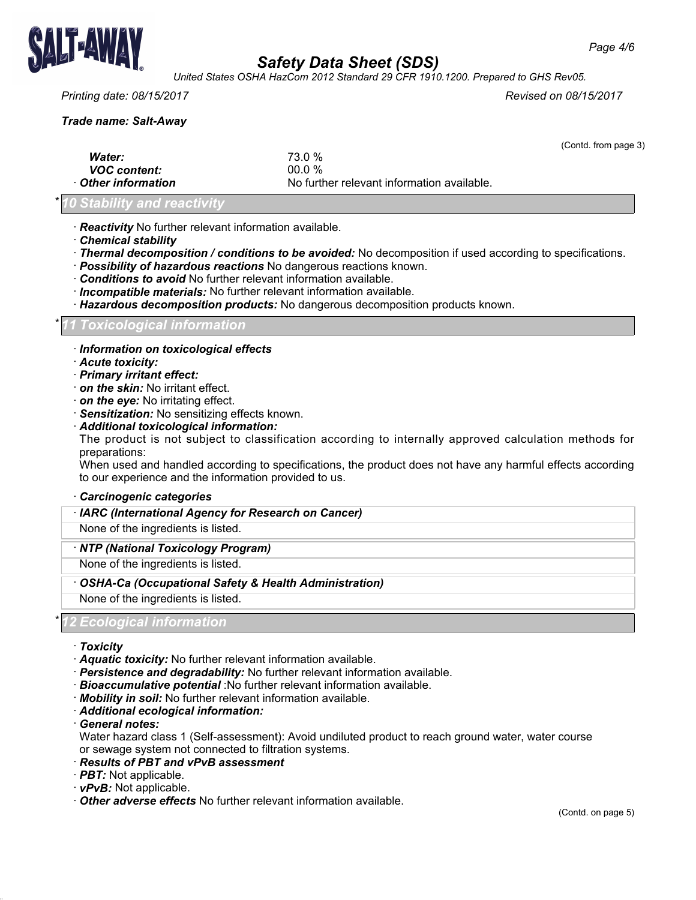

*United States OSHA HazCom 2012 Standard 29 CFR 1910.1200. Prepared to GHS Rev05.*

## *Printing date: 08/15/2017 Revised on 08/15/2017*

*Trade name: Salt-Away*

|                     |                                            | (Contd. from page 3) |
|---------------------|--------------------------------------------|----------------------|
| <b>Water:</b>       | 73.0 %                                     |                      |
| <b>VOC content:</b> | $00.0 \%$                                  |                      |
| Other information   | No further relevant information available. |                      |

## \* *10 Stability and reactivity*

· *Reactivity* No further relevant information available.

- · *Chemical stability*
- · *Thermal decomposition / conditions to be avoided:* No decomposition if used according to specifications.
- · *Possibility of hazardous reactions* No dangerous reactions known.
- · *Conditions to avoid* No further relevant information available.
- · *Incompatible materials:* No further relevant information available.
- · *Hazardous decomposition products:* No dangerous decomposition products known.

#### \* *11 Toxicological information*

- · *Information on toxicological effects*
- · *Acute toxicity:*
- · *Primary irritant effect:*
- · *on the skin:* No irritant effect.
- · *on the eye:* No irritating effect.
- · *Sensitization:* No sensitizing effects known.
- · *Additional toxicological information:*

The product is not subject to classification according to internally approved calculation methods for preparations:

When used and handled according to specifications, the product does not have any harmful effects according to our experience and the information provided to us.

#### · *Carcinogenic categories*

· *IARC (International Agency for Research on Cancer)*

None of the ingredients is listed.

#### · *NTP (National Toxicology Program)*

None of the ingredients is listed.

· *OSHA-Ca (Occupational Safety & Health Administration)*

None of the ingredients is listed.

## 2 *Ecological informa*

· *Toxicity*

38.1.1

- · *Aquatic toxicity:* No further relevant information available.
- · *Persistence and degradability:* No further relevant information available.
- · *Bioaccumulative potential* :No further relevant information available.
- · *Mobility in soil:* No further relevant information available.
- · *Additional ecological information:*

· *General notes:*

Water hazard class 1 (Self-assessment): Avoid undiluted product to reach ground water, water course or sewage system not connected to filtration systems.

- · *Results of PBT and vPvB assessment*
- · *PBT:* Not applicable.
- · *vPvB:* Not applicable.
- · *Other adverse effects* No further relevant information available.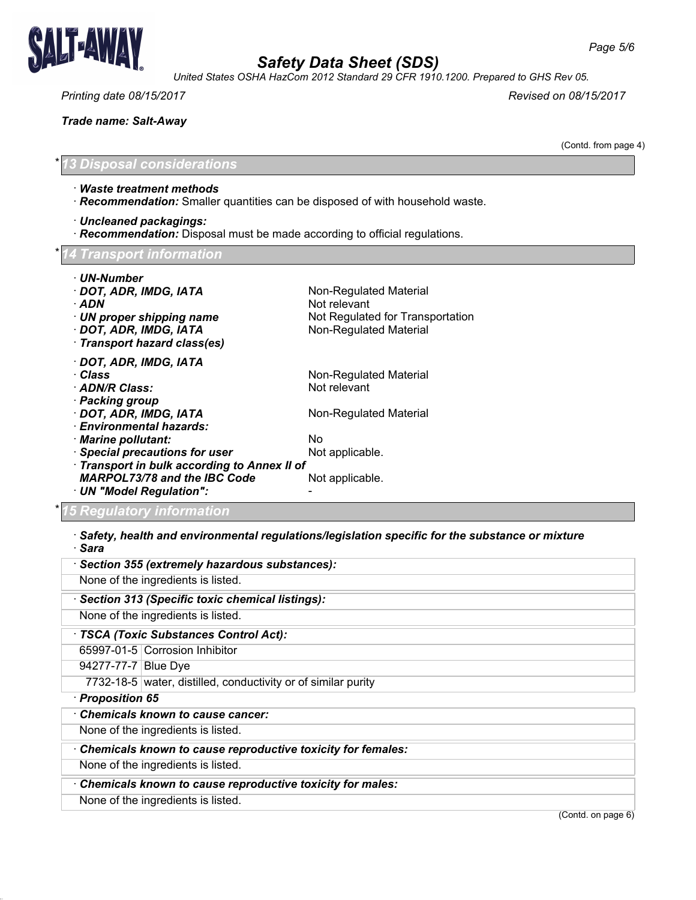

*United States OSHA HazCom 2012 Standard 29 CFR 1910.1200. Prepared to GHS Rev 05.*

*Printing date 08/15/2017 Revised on 08/15/2017*

*Trade name: Salt-Away*

(Contd. from page 4)

\* *13 Disposal considerations*

- · *Waste treatment methods*
- · *Recommendation:* Smaller quantities can be disposed of with household waste.

· *Uncleaned packagings:*

· *Recommendation:* Disposal must be made according to official regulations.

|  | *14 Transport information |
|--|---------------------------|
|  |                           |

- · *UN-Number*
- · **DOT, ADR, IMDG, IATA** Non-Regulated Material
- · **ADN** Not relevant

38.1.1

- · *UN proper shipping name* Not Regulated for Transportation
- · **DOT, ADR, IMDG, IATA** Non-Regulated Material
- · *Transport hazard class(es)*

· *DOT, ADR, IMDG, IATA* · **Class Class Non-Regulated Material**<br>· **ADN/R Class:** Not relevant

- · ADN/R Class:
- · *Packing group*
- · **DOT, ADR, IMDG, IATA** Non-Regulated Material
- · *Environmental hazards:*
- · *Marine pollutant:* No
- · **Special precautions for user** Not applicable.

· *Transport in bulk according to Annex II of*

*MARPOL73/78 and the IBC Code* Not applicable.

## \* *15 Regulatory information*

· *UN "Model Regulation":* -

· *Safety, health and environmental regulations/legislation specific for the substance or mixture* · *Sara*